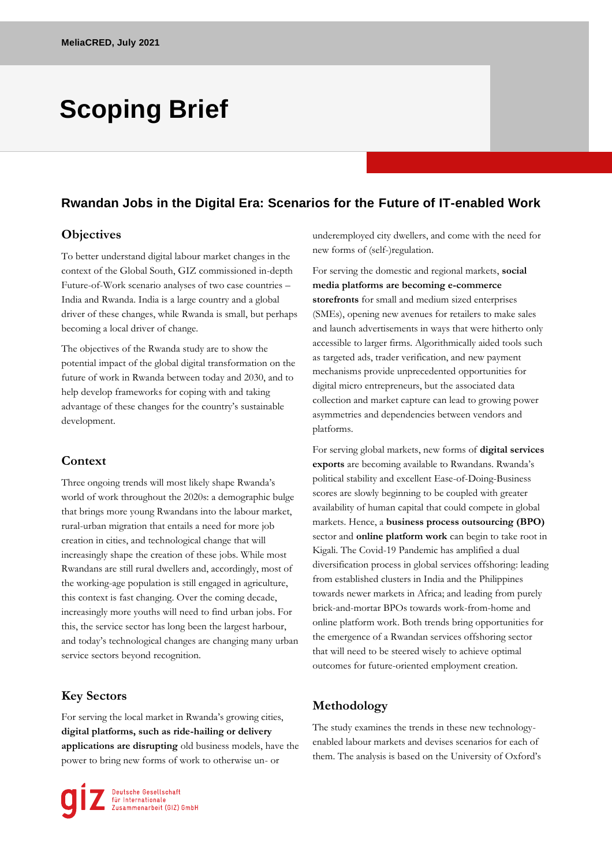# **Scoping Brief**

## **Rwandan Jobs in the Digital Era: Scenarios for the Future of IT-enabled Work**

#### **Objectives**

To better understand digital labour market changes in the context of the Global South, GIZ commissioned in-depth Future-of-Work scenario analyses of two case countries – India and Rwanda. India is a large country and a global driver of these changes, while Rwanda is small, but perhaps becoming a local driver of change.

The objectives of the Rwanda study are to show the potential impact of the global digital transformation on the future of work in Rwanda between today and 2030, and to help develop frameworks for coping with and taking advantage of these changes for the country's sustainable development.

#### **Context**

Three ongoing trends will most likely shape Rwanda's world of work throughout the 2020s: a demographic bulge that brings more young Rwandans into the labour market, rural-urban migration that entails a need for more job creation in cities, and technological change that will increasingly shape the creation of these jobs. While most Rwandans are still rural dwellers and, accordingly, most of the working-age population is still engaged in agriculture, this context is fast changing. Over the coming decade, increasingly more youths will need to find urban jobs. For this, the service sector has long been the largest harbour, and today's technological changes are changing many urban service sectors beyond recognition.

#### **Key Sectors**

For serving the local market in Rwanda's growing cities, **digital platforms, such as ride-hailing or delivery applications are disrupting** old business models, have the power to bring new forms of work to otherwise un- or

Deutsche Gesellschaft<br>Für Internationale<br>Dizusammenarbeit (GIZ) GmbH

underemployed city dwellers, and come with the need for new forms of (self-)regulation.

For serving the domestic and regional markets, **social media platforms are becoming e-commerce storefronts** for small and medium sized enterprises (SMEs), opening new avenues for retailers to make sales and launch advertisements in ways that were hitherto only accessible to larger firms. Algorithmically aided tools such as targeted ads, trader verification, and new payment mechanisms provide unprecedented opportunities for digital micro entrepreneurs, but the associated data collection and market capture can lead to growing power asymmetries and dependencies between vendors and platforms.

For serving global markets, new forms of **digital services exports** are becoming available to Rwandans. Rwanda's political stability and excellent Ease-of-Doing-Business scores are slowly beginning to be coupled with greater availability of human capital that could compete in global markets. Hence, a **business process outsourcing (BPO)** sector and **online platform work** can begin to take root in Kigali. The Covid-19 Pandemic has amplified a dual diversification process in global services offshoring: leading from established clusters in India and the Philippines towards newer markets in Africa; and leading from purely brick-and-mortar BPOs towards work-from-home and online platform work. Both trends bring opportunities for the emergence of a Rwandan services offshoring sector that will need to be steered wisely to achieve optimal outcomes for future-oriented employment creation.

#### **Methodology**

The study examines the trends in these new technologyenabled labour markets and devises scenarios for each of them. The analysis is based on the University of Oxford's